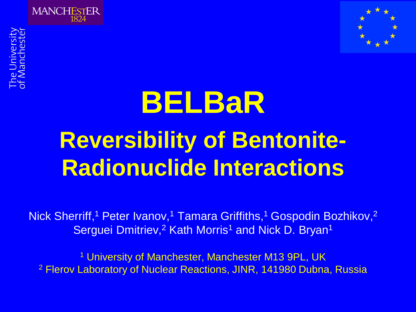



# **BELBaR Reversibility of Bentonite-Radionuclide Interactions**

Nick Sherriff,<sup>1</sup> Peter Ivanov,<sup>1</sup> Tamara Griffiths,<sup>1</sup> Gospodin Bozhikov,<sup>2</sup> Serguei Dmitriev,<sup>2</sup> Kath Morris<sup>1</sup> and Nick D. Bryan<sup>1</sup>

<sup>1</sup> University of Manchester, Manchester M13 9PL, UK <sup>2</sup> Flerov Laboratory of Nuclear Reactions, JINR, 141980 Dubna, Russia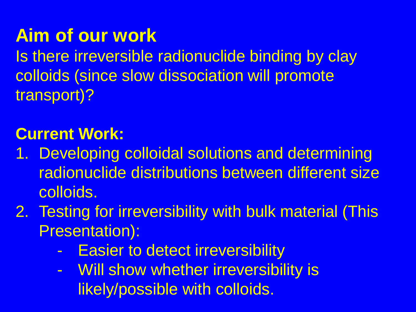### **Aim of our work**

Is there irreversible radionuclide binding by clay colloids (since slow dissociation will promote transport)?

#### **Current Work:**

- 1. Developing colloidal solutions and determining radionuclide distributions between different size colloids.
- 2. Testing for irreversibility with bulk material (This Presentation):
	- Easier to detect irreversibility
	- Will show whether irreversibility is likely/possible with colloids.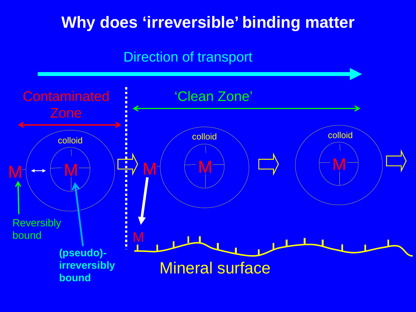#### **Why does 'irreversible' binding matter**

#### Direction of transport

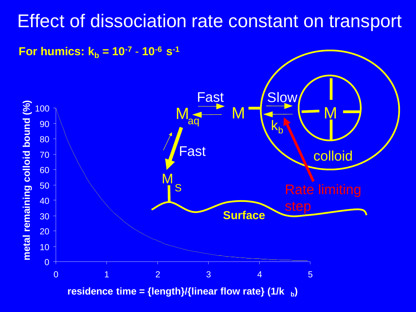#### Effect of dissociation rate constant on transport



**residence time = {length}/{linear flow rate} (1/k b)**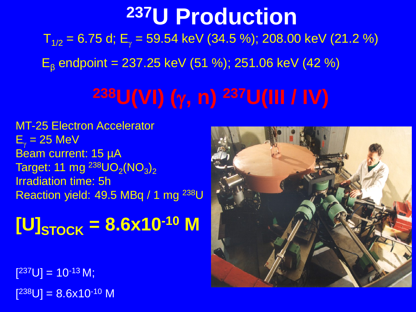### $T_{1/2}$  = 6.75 d; E<sub>y</sub> = 59.54 keV (34.5 %); 208.00 keV (21.2 %)  $E<sub>β</sub>$  endpoint = 237.25 keV (51 %); 251.06 keV (42 %) **237U Production**

## **238U(VI) (**γ**, n) 237U(III / IV)**

MT-25 Electron Accelerator  $E_v = 25$  MeV Beam current: 15 µA Target: 11 mg  $^{238}$ UO<sub>2</sub>(NO<sub>3</sub>)<sub>2</sub> Irradiation time: 5h Reaction yield: 49.5 MBq / 1 mg <sup>238</sup>U

## $[U]_{STock}$  = 8.6x10<sup>-10</sup> M

 $[{}^{237}U] = 10^{-13} M;$  $[{}^{238}U] = 8.6$ x10<sup>-10</sup> M

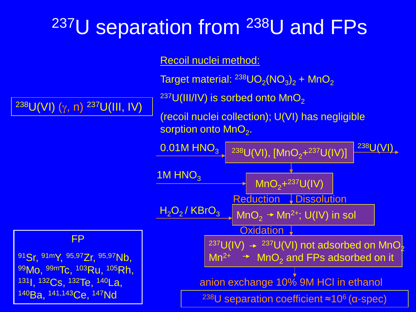### **237U separation from 238U and FPs**

Recoil nuclei method:

 $238$ U(VI) (γ, n)  $237$ U(III, IV)

FP

91Sr, 91mY, 95,97Zr, 95,97Nb,

99Mo, 99mTc, 103Ru, 105Rh,

131I, 132Cs, 132Te, 140La,

140<sub>Ba, 141,143</sup>Ce, <sup>147</sup>Nd</sub>

Target material:  $^{238}$ UO<sub>2</sub>(NO<sub>3</sub>)<sub>2</sub> + MnO<sub>2</sub>

 $237$ U(III/IV) is sorbed onto MnO<sub>2</sub>

(recoil nuclei collection); U(VI) has negligible sorption onto  $MnO<sub>2</sub>$ .

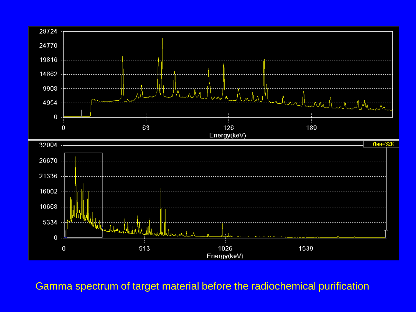

Gamma spectrum of target material before the radiochemical purification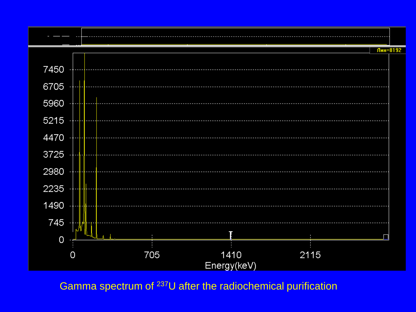

Gamma spectrum of 237U after the radiochemical purification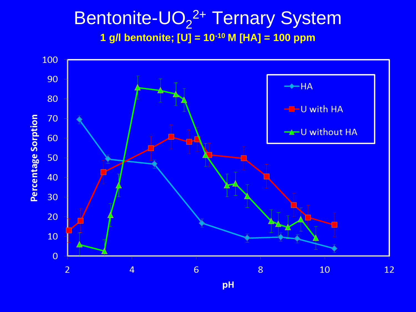#### Bentonite-UO<sub>2</sub><sup>2+</sup> Ternary System **1 g/l bentonite; [U] = 10-10 M [HA] = 100 ppm**



pH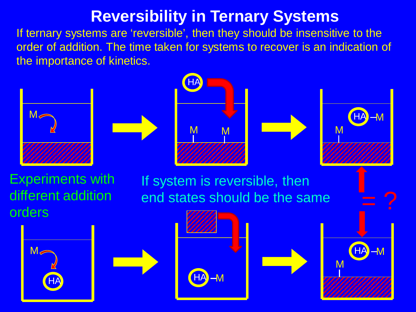#### **Reversibility in Ternary Systems**

If ternary systems are 'reversible', then they should be insensitive to the order of addition. The time taken for systems to recover is an indication of the importance of kinetics.

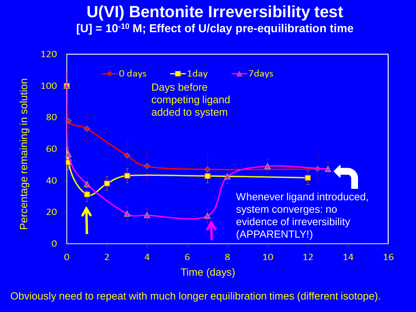#### **U(VI) Bentonite Irreversibility test [U] = 10-10 M; Effect of U/clay pre-equilibration time**



Obviously need to repeat with much longer equilibration times (different isotope).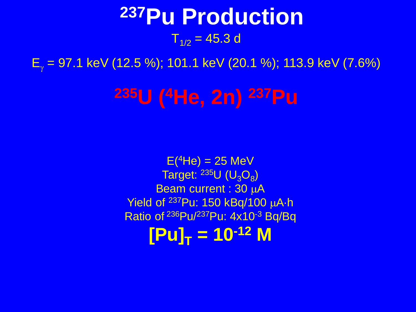### $T_{1/2}$  = 45.3 d **237Pu Production**

 $E_y = 97.1$  keV (12.5 %); 101.1 keV (20.1 %); 113.9 keV (7.6%)

**235U (4He, 2n) 237Pu**

 $E(^{4}He) = 25 MeV$ Target:  $^{235}$ U (U<sub>3</sub>O<sub>8</sub>) Beam current : 30 µA Yield of 237Pu: 150 kBq/100 µA·h Ratio of 236Pu/237Pu: 4x10-3 Bq/Bq  $[Pu]_T = 10^{-12} M$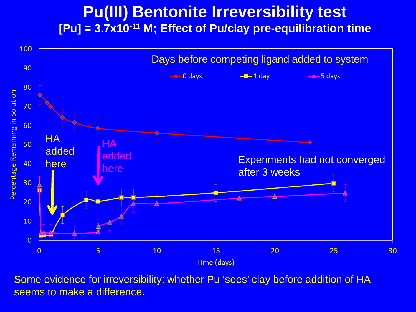#### **Pu(III) Bentonite Irreversibility test [Pu] = 3.7x10-11 M; Effect of Pu/clay pre-equilibration time**



Some evidence for irreversibility: whether Pu 'sees' clay before addition of HA seems to make a difference.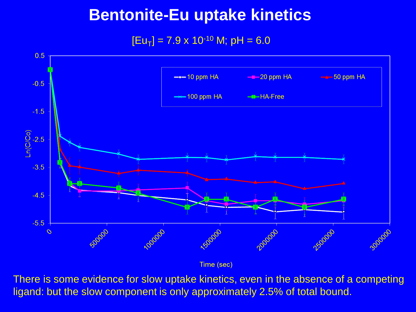#### **Bentonite-Eu uptake kinetics**

 $[Eu_T] = 7.9 \times 10^{-10}$  M; pH = 6.0



Time (sec)

There is some evidence for slow uptake kinetics, even in the absence of a competing ligand: but the slow component is only approximately 2.5% of total bound.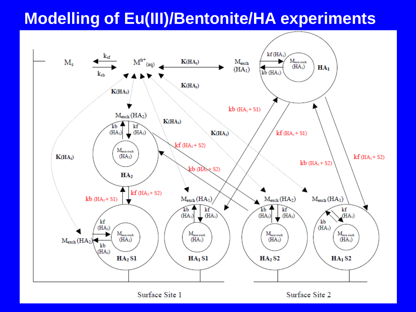#### **Modelling of Eu(III)/Bentonite/HA experiments**



Surface Site 1

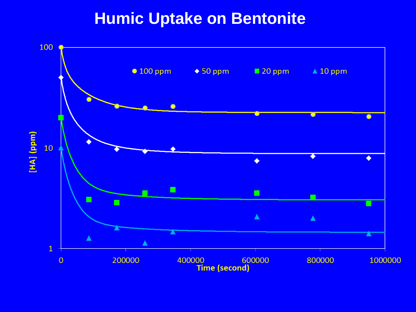#### **Humic Uptake on Bentonite**

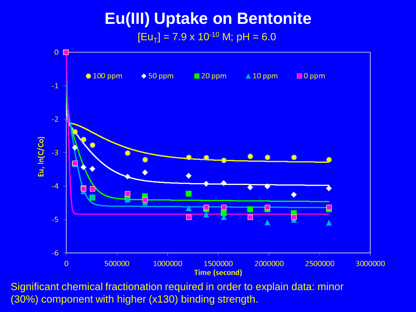#### **Eu(III) Uptake on Bentonite**  $[Eu_T] = 7.9 \times 10^{-10}$  M; pH = 6.0



Significant chemical fractionation required in order to explain data: minor (30%) component with higher (x130) binding strength.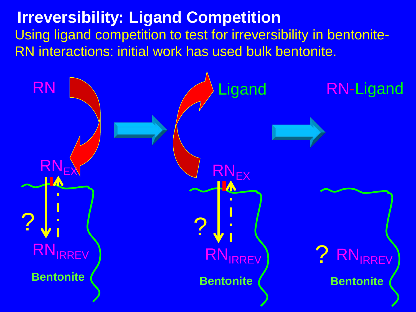#### **Irreversibility: Ligand Competition** Using ligand competition to test for irreversibility in bentonite-RN interactions: initial work has used bulk bentonite.

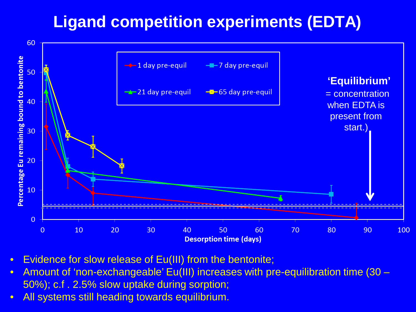#### **Ligand competition experiments (EDTA)**



- Evidence for slow release of Eu(III) from the bentonite;
- Amount of 'non-exchangeable' Eu(III) increases with pre-equilibration time (30 50%); c.f . 2.5% slow uptake during sorption;
- All systems still heading towards equilibrium.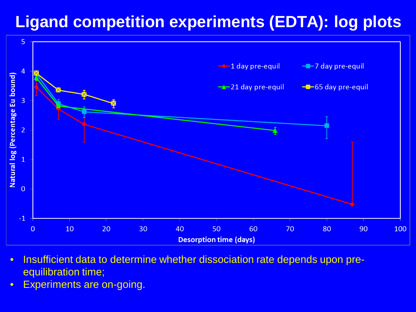#### **Ligand competition experiments (EDTA): log plots**



- Insufficient data to determine whether dissociation rate depends upon preequilibration time;
- Experiments are on-going.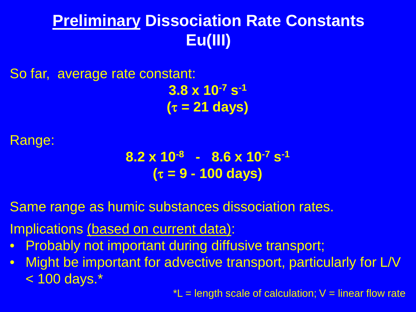#### **Preliminary Dissociation Rate Constants Eu(III)**

So far, average rate constant:

**3.8 x 10-7 s-1 (**τ **= 21 days)**

#### Range:

**8.2 x 10-8 - 8.6 x 10-7 s-1 (**τ **= 9 - 100 days)**

Same range as humic substances dissociation rates.

Implications (based on current data):

- Probably not important during diffusive transport;
- Might be important for advective transport, particularly for L/V < 100 days.\*

 $t =$  length scale of calculation;  $V =$  linear flow rate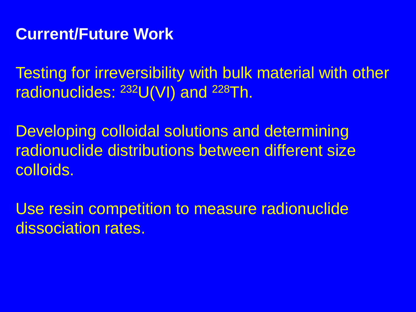#### **Current/Future Work**

Testing for irreversibility with bulk material with other radionuclides: 232U(VI) and 228Th.

Developing colloidal solutions and determining radionuclide distributions between different size colloids.

Use resin competition to measure radionuclide dissociation rates.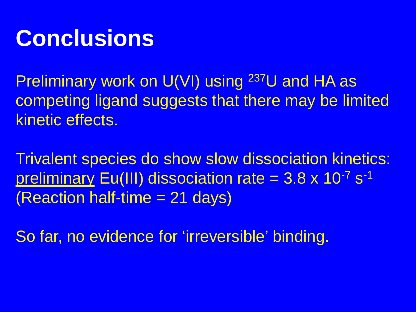### **Conclusions**

Preliminary work on U(VI) using <sup>237</sup>U and HA as competing ligand suggests that there may be limited kinetic effects.

Trivalent species do show slow dissociation kinetics: preliminary Eu(III) dissociation rate  $= 3.8 \times 10^{-7}$  s<sup>-1</sup> (Reaction half-time = 21 days)

So far, no evidence for 'irreversible' binding.